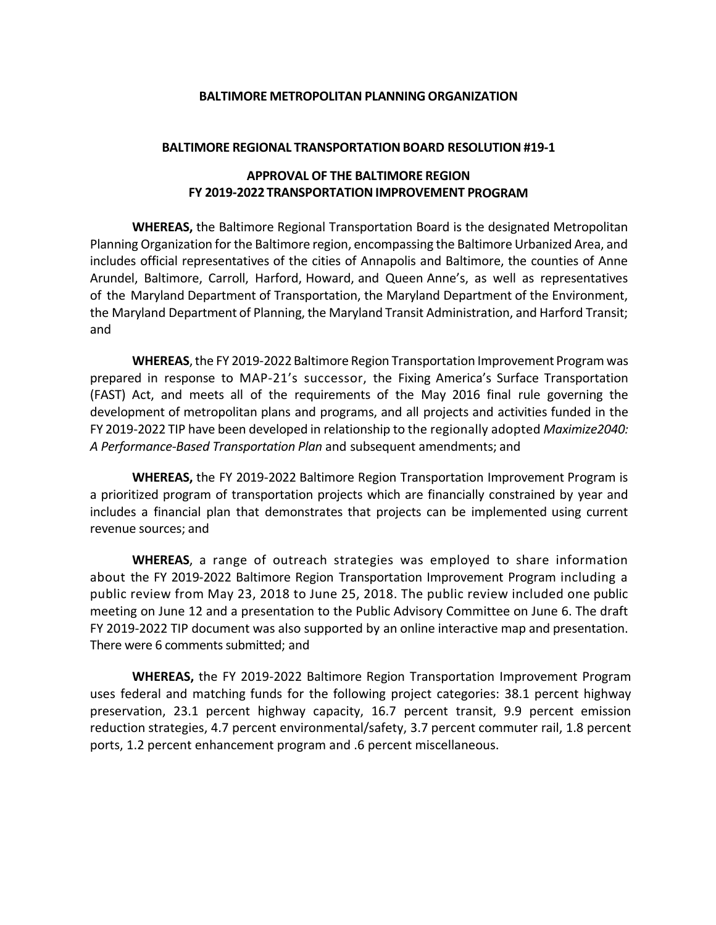## **BALTIMORE METROPOLITAN PLANNING ORGANIZATION**

## **BALTIMORE REGIONAL TRANSPORTATION BOARD RESOLUTION #19‐1**

## **APPROVAL OF THE BALTIMORE REGION FY 2019‐2022 TRANSPORTATION IMPROVEMENT PROGRAM**

**WHEREAS,** the Baltimore Regional Transportation Board is the designated Metropolitan Planning Organization for the Baltimore region, encompassing the Baltimore Urbanized Area, and includes official representatives of the cities of Annapolis and Baltimore, the counties of Anne Arundel, Baltimore, Carroll, Harford, Howard, and Queen Anne's, as well as representatives of the Maryland Department of Transportation, the Maryland Department of the Environment, the Maryland Department of Planning, the Maryland Transit Administration, and Harford Transit; and

**WHEREAS**, the FY 2019‐2022 Baltimore Region Transportation Improvement Program was prepared in response to MAP-21's successor, the Fixing America's Surface Transportation (FAST) Act, and meets all of the requirements of the May 2016 final rule governing the development of metropolitan plans and programs, and all projects and activities funded in the FY 2019‐2022 TIP have been developed in relationship to the regionally adopted *Maximize2040: A Performance‐Based Transportation Plan* and subsequent amendments; and

**WHEREAS,** the FY 2019‐2022 Baltimore Region Transportation Improvement Program is a prioritized program of transportation projects which are financially constrained by year and includes a financial plan that demonstrates that projects can be implemented using current revenue sources; and

**WHEREAS**, a range of outreach strategies was employed to share information about the FY 2019‐2022 Baltimore Region Transportation Improvement Program including a public review from May 23, 2018 to June 25, 2018. The public review included one public meeting on June 12 and a presentation to the Public Advisory Committee on June 6. The draft FY 2019‐2022 TIP document was also supported by an online interactive map and presentation. There were 6 comments submitted; and

**WHEREAS,** the FY 2019‐2022 Baltimore Region Transportation Improvement Program uses federal and matching funds for the following project categories: 38.1 percent highway preservation, 23.1 percent highway capacity, 16.7 percent transit, 9.9 percent emission reduction strategies, 4.7 percent environmental/safety, 3.7 percent commuter rail, 1.8 percent ports, 1.2 percent enhancement program and .6 percent miscellaneous.